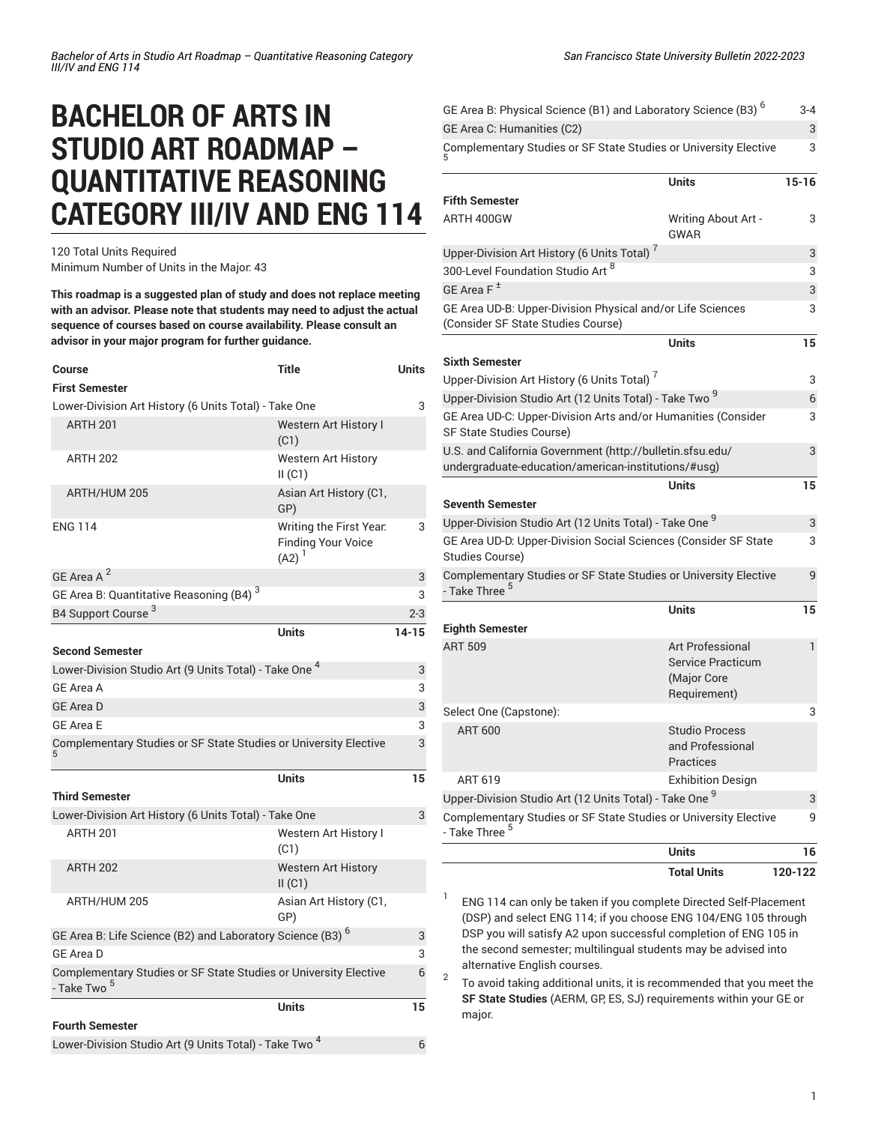## **BACHELOR OF ARTS IN STUDIO ART ROADMAP – QUANTITATIVE REASONING CATEGORY III/IV AND ENG 114**

120 Total Units Required Minimum Number of Units in the Major: 43

**This roadmap is a suggested plan of study and does not replace meeting with an advisor. Please note that students may need to adjust the actual sequence of courses based on course availability. Please consult an advisor in your major program for further guidance.**

| <b>Course</b>                                                                               | Title                                                              | <b>Units</b> |
|---------------------------------------------------------------------------------------------|--------------------------------------------------------------------|--------------|
| <b>First Semester</b>                                                                       |                                                                    |              |
| Lower-Division Art History (6 Units Total) - Take One                                       |                                                                    | 3            |
| <b>ARTH 201</b>                                                                             | <b>Western Art History I</b><br>(C1)                               |              |
| <b>ARTH 202</b>                                                                             | <b>Western Art History</b><br>II(C1)                               |              |
| ARTH/HUM 205                                                                                | Asian Art History (C1,<br>GP)                                      |              |
| <b>ENG 114</b>                                                                              | Writing the First Year.<br><b>Finding Your Voice</b><br>$(A2)^{1}$ | 3            |
| GE Area A <sup>2</sup>                                                                      |                                                                    | 3            |
| GE Area B: Quantitative Reasoning (B4) <sup>3</sup>                                         |                                                                    | 3            |
| B4 Support Course <sup>3</sup>                                                              |                                                                    | $2 - 3$      |
|                                                                                             | <b>Units</b>                                                       | $14 - 15$    |
| <b>Second Semester</b>                                                                      |                                                                    |              |
| Lower-Division Studio Art (9 Units Total) - Take One <sup>4</sup>                           |                                                                    | 3            |
| GE Area A                                                                                   |                                                                    | 3            |
| <b>GE Area D</b>                                                                            |                                                                    | 3            |
| <b>GE Area E</b>                                                                            |                                                                    | 3            |
| Complementary Studies or SF State Studies or University Elective                            |                                                                    | 3            |
|                                                                                             | <b>Units</b>                                                       | 15           |
| <b>Third Semester</b>                                                                       |                                                                    |              |
| Lower-Division Art History (6 Units Total) - Take One                                       |                                                                    | 3            |
| <b>ARTH 201</b>                                                                             | Western Art History I<br>(C1)                                      |              |
| <b>ARTH 202</b>                                                                             | <b>Western Art History</b><br>II(C1)                               |              |
| ARTH/HUM 205                                                                                | Asian Art History (C1,<br>GP)                                      |              |
| GE Area B: Life Science (B2) and Laboratory Science (B3) <sup>6</sup>                       |                                                                    | 3            |
| <b>GE Area D</b>                                                                            |                                                                    | 3            |
| Complementary Studies or SF State Studies or University Elective<br>- Take Two <sup>5</sup> |                                                                    | 6            |
|                                                                                             | <b>Units</b>                                                       | 15           |
| <b>Fourth Semester</b>                                                                      |                                                                    |              |
| Lower-Division Studio Art (9 Units Total) - Take Two <sup>4</sup>                           |                                                                    | 6            |

|                                                                                                  | <b>Units</b>                                            | 16    |
|--------------------------------------------------------------------------------------------------|---------------------------------------------------------|-------|
|                                                                                                  |                                                         |       |
| Complementary Studies or SF State Studies or University Elective<br>- Take Three <sup>5</sup>    |                                                         | 9     |
| Upper-Division Studio Art (12 Units Total) - Take One <sup>9</sup>                               |                                                         | 3     |
| ART 619                                                                                          | <b>Exhibition Design</b>                                |       |
|                                                                                                  | and Professional<br>Practices                           |       |
| <b>ART 600</b>                                                                                   | <b>Studio Process</b>                                   |       |
| Select One (Capstone):                                                                           |                                                         | 3     |
|                                                                                                  | <b>Service Practicum</b><br>(Major Core<br>Requirement) |       |
| <b>ART 509</b>                                                                                   | <b>Art Professional</b>                                 | 1     |
| <b>Eighth Semester</b>                                                                           | <b>Units</b>                                            | 15    |
| Complementary Studies or SF State Studies or University Elective<br>- Take Three <sup>5</sup>    |                                                         | 9     |
| GE Area UD-D: Upper-Division Social Sciences (Consider SF State<br><b>Studies Course)</b>        |                                                         | 3     |
| Upper-Division Studio Art (12 Units Total) - Take One <sup>9</sup>                               |                                                         | 3     |
| <b>Seventh Semester</b>                                                                          | Units                                                   | 15    |
| undergraduate-education/american-institutions/#usg)                                              |                                                         |       |
| U.S. and California Government (http://bulletin.sfsu.edu/                                        |                                                         | 3     |
| SF State Studies Course)                                                                         |                                                         |       |
| GE Area UD-C: Upper-Division Arts and/or Humanities (Consider                                    |                                                         | 3     |
| Upper-Division Studio Art (12 Units Total) - Take Two <sup>9</sup>                               |                                                         | 6     |
| Upper-Division Art History (6 Units Total) <sup>7</sup>                                          |                                                         | 3     |
| Sixth Semester                                                                                   | <b>Units</b>                                            | 15    |
| GE Area UD-B: Upper-Division Physical and/or Life Sciences<br>(Consider SF State Studies Course) |                                                         | 3     |
| GE Area F <sup>±</sup>                                                                           |                                                         | 3     |
| 300-Level Foundation Studio Art <sup>8</sup>                                                     |                                                         | 3     |
| Upper-Division Art History (6 Units Total) <sup>7</sup>                                          |                                                         | 3     |
|                                                                                                  | GWAR                                                    |       |
| <b>Fifth Semester</b><br>ARTH 400GW                                                              | Writing About Art -                                     | 3     |
|                                                                                                  | <b>Units</b>                                            | 15-16 |
| Complementary Studies or SF State Studies or University Elective                                 |                                                         | 3     |
|                                                                                                  |                                                         |       |
| GE Area C: Humanities (C2)                                                                       |                                                         | 3     |

1 ENG 114 can only be taken if you complete Directed Self-Placement (DSP) and select ENG 114; if you choose ENG 104/ENG 105 through DSP you will satisfy A2 upon successful completion of ENG 105 in the second semester; multilingual students may be advised into alternative English courses.

2 To avoid taking additional units, it is recommended that you meet the **SF State Studies** (AERM, GP, ES, SJ) requirements within your GE or major.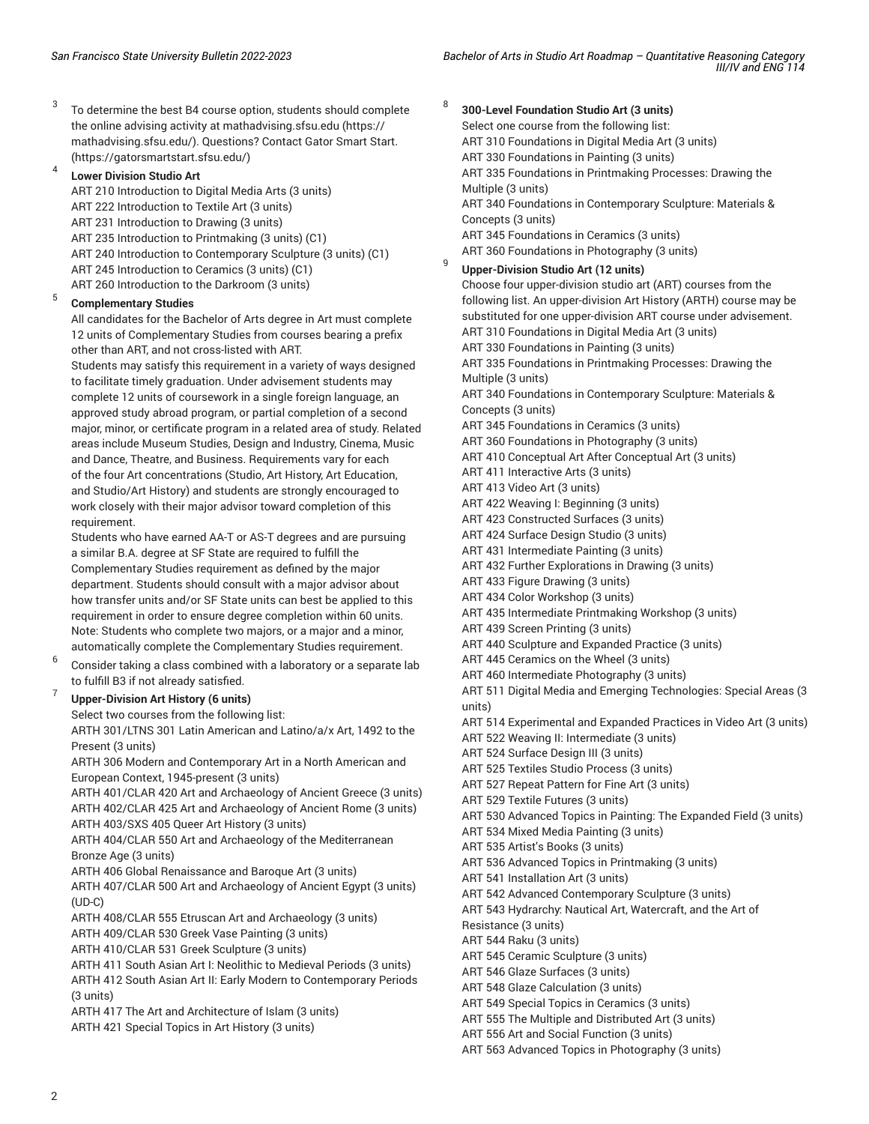3 To determine the best B4 course option, students should complete the online advising activity at [mathadvising.sfsu.edu](https://mathadvising.sfsu.edu/) ([https://](https://mathadvising.sfsu.edu/) [mathadvising.sfsu.edu/\)](https://mathadvising.sfsu.edu/). Questions? Contact Gator [Smart](https://gatorsmartstart.sfsu.edu/) Start. ([https://gatorsmartstart.sfsu.edu/\)](https://gatorsmartstart.sfsu.edu/)

4 **Lower Division Studio Art**

> ART 210 Introduction to Digital Media Arts (3 units) ART 222 Introduction to Textile Art (3 units) ART 231 Introduction to Drawing (3 units) ART 235 Introduction to Printmaking (3 units) (C1) ART 240 Introduction to Contemporary Sculpture (3 units) (C1) ART 245 Introduction to Ceramics (3 units) (C1) ART 260 Introduction to the Darkroom (3 units)

## 5 **Complementary Studies**

All candidates for the Bachelor of Arts degree in Art must complete 12 units of Complementary Studies from courses bearing a prefix other than ART, and not cross-listed with ART.

Students may satisfy this requirement in a variety of ways designed to facilitate timely graduation. Under advisement students may complete 12 units of coursework in a single foreign language, an approved study abroad program, or partial completion of a second major, minor, or certificate program in a related area of study. Related areas include Museum Studies, Design and Industry, Cinema, Music and Dance, Theatre, and Business. Requirements vary for each of the four Art concentrations (Studio, Art History, Art Education, and Studio/Art History) and students are strongly encouraged to work closely with their major advisor toward completion of this requirement.

Students who have earned AA-T or AS-T degrees and are pursuing a similar B.A. degree at SF State are required to fulfill the Complementary Studies requirement as defined by the major department. Students should consult with a major advisor about how transfer units and/or SF State units can best be applied to this requirement in order to ensure degree completion within 60 units. Note: Students who complete two majors, or a major and a minor, automatically complete the Complementary Studies requirement.

6 Consider taking a class combined with a laboratory or a separate lab to fulfill B3 if not already satisfied.

## 7 **Upper-Division Art History (6 units)**

Select two courses from the following list:

ARTH 301/LTNS 301 Latin American and Latino/a/x Art, 1492 to the Present (3 units)

ARTH 306 Modern and Contemporary Art in a North American and European Context, 1945-present (3 units)

ARTH 401/CLAR 420 Art and Archaeology of Ancient Greece (3 units) ARTH 402/CLAR 425 Art and Archaeology of Ancient Rome (3 units) ARTH 403/SXS 405 Queer Art History (3 units)

ARTH 404/CLAR 550 Art and Archaeology of the Mediterranean Bronze Age (3 units)

ARTH 406 Global Renaissance and Baroque Art (3 units)

ARTH 407/CLAR 500 Art and Archaeology of Ancient Egypt (3 units) (UD-C)

ARTH 408/CLAR 555 Etruscan Art and Archaeology (3 units)

ARTH 409/CLAR 530 Greek Vase Painting (3 units)

ARTH 410/CLAR 531 Greek Sculpture (3 units)

ARTH 411 South Asian Art I: Neolithic to Medieval Periods (3 units) ARTH 412 South Asian Art II: Early Modern to Contemporary Periods

(3 units)

ARTH 417 The Art and Architecture of Islam (3 units)

ARTH 421 Special Topics in Art History (3 units)

8 **300-Level Foundation Studio Art (3 units)** Select one course from the following list: ART 310 Foundations in Digital Media Art (3 units) ART 330 Foundations in Painting (3 units) ART 335 Foundations in Printmaking Processes: Drawing the Multiple (3 units) ART 340 Foundations in Contemporary Sculpture: Materials & Concepts (3 units) ART 345 Foundations in Ceramics (3 units) ART 360 Foundations in Photography (3 units)  $\overline{q}$ 

**Upper-Division Studio Art (12 units)**

Choose four upper-division studio art (ART) courses from the following list. An upper-division Art History (ARTH) course may be substituted for one upper-division ART course under advisement. ART 310 Foundations in Digital Media Art (3 units) ART 330 Foundations in Painting (3 units) ART 335 Foundations in Printmaking Processes: Drawing the Multiple (3 units) ART 340 Foundations in Contemporary Sculpture: Materials & Concepts (3 units) ART 345 Foundations in Ceramics (3 units) ART 360 Foundations in Photography (3 units) ART 410 Conceptual Art After Conceptual Art (3 units) ART 411 Interactive Arts (3 units) ART 413 Video Art (3 units) ART 422 Weaving I: Beginning (3 units) ART 423 Constructed Surfaces (3 units) ART 424 Surface Design Studio (3 units) ART 431 Intermediate Painting (3 units) ART 432 Further Explorations in Drawing (3 units) ART 433 Figure Drawing (3 units) ART 434 Color Workshop (3 units) ART 435 Intermediate Printmaking Workshop (3 units) ART 439 Screen Printing (3 units) ART 440 Sculpture and Expanded Practice (3 units) ART 445 Ceramics on the Wheel (3 units) ART 460 Intermediate Photography (3 units) ART 511 Digital Media and Emerging Technologies: Special Areas (3 units) ART 514 Experimental and Expanded Practices in Video Art (3 units)

ART 522 Weaving II: Intermediate (3 units) ART 524 Surface Design III (3 units)

- ART 525 Textiles Studio Process (3 units)
- ART 527 Repeat Pattern for Fine Art (3 units)

ART 529 Textile Futures (3 units)

ART 530 Advanced Topics in Painting: The Expanded Field (3 units)

ART 534 Mixed Media Painting (3 units)

ART 535 Artist's Books (3 units)

ART 536 Advanced Topics in Printmaking (3 units)

ART 541 Installation Art (3 units)

ART 542 Advanced Contemporary Sculpture (3 units)

ART 543 Hydrarchy: Nautical Art, Watercraft, and the Art of

Resistance (3 units) ART 544 Raku (3 units)

ART 545 Ceramic Sculpture (3 units)

ART 546 Glaze Surfaces (3 units)

ART 548 Glaze Calculation (3 units)

ART 549 Special Topics in Ceramics (3 units)

ART 555 The Multiple and Distributed Art (3 units)

ART 556 Art and Social Function (3 units)

ART 563 Advanced Topics in Photography (3 units)